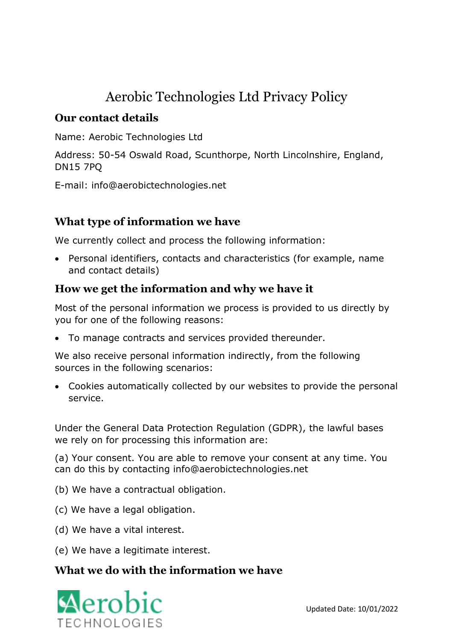# Aerobic Technologies Ltd Privacy Policy

## **Our contact details**

Name: Aerobic Technologies Ltd

Address: 50-54 Oswald Road, Scunthorpe, North Lincolnshire, England, DN15 7PQ

E-mail: info@aerobictechnologies.net

## **What type of information we have**

We currently collect and process the following information:

• Personal identifiers, contacts and characteristics (for example, name and contact details)

## **How we get the information and why we have it**

Most of the personal information we process is provided to us directly by you for one of the following reasons:

• To manage contracts and services provided thereunder.

We also receive personal information indirectly, from the following sources in the following scenarios:

• Cookies automatically collected by our websites to provide the personal service.

Under the General Data Protection Regulation (GDPR), the lawful bases we rely on for processing this information are:

(a) Your consent. You are able to remove your consent at any time. You can do this by contacting info@aerobictechnologies.net

- (b) We have a contractual obligation.
- (c) We have a legal obligation.
- (d) We have a vital interest.
- (e) We have a legitimate interest.

### **What we do with the information we have**

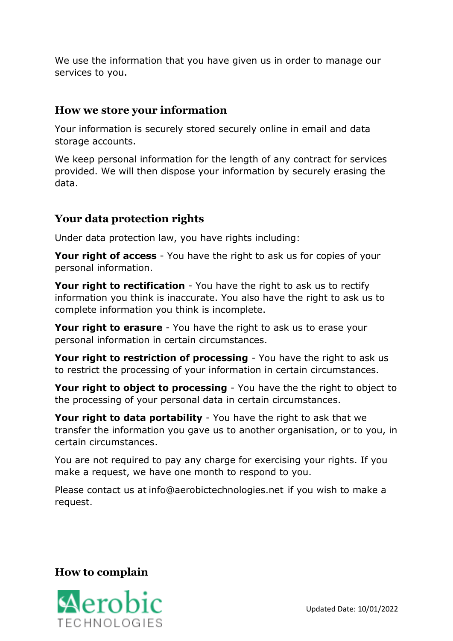We use the information that you have given us in order to manage our services to you.

#### **How we store your information**

Your information is securely stored securely online in email and data storage accounts.

We keep personal information for the length of any contract for services provided. We will then dispose your information by securely erasing the data.

## **Your data protection rights**

Under data protection law, you have rights including:

**Your right of access** - You have the right to ask us for copies of your personal information.

**Your right to rectification** - You have the right to ask us to rectify information you think is inaccurate. You also have the right to ask us to complete information you think is incomplete.

**Your right to erasure** - You have the right to ask us to erase your personal information in certain circumstances.

**Your right to restriction of processing** - You have the right to ask us to restrict the processing of your information in certain circumstances.

**Your right to object to processing** - You have the the right to object to the processing of your personal data in certain circumstances.

**Your right to data portability** - You have the right to ask that we transfer the information you gave us to another organisation, or to you, in certain circumstances.

You are not required to pay any charge for exercising your rights. If you make a request, we have one month to respond to you.

Please contact us at info@aerobictechnologies.net if you wish to make a request.

### **How to complain**